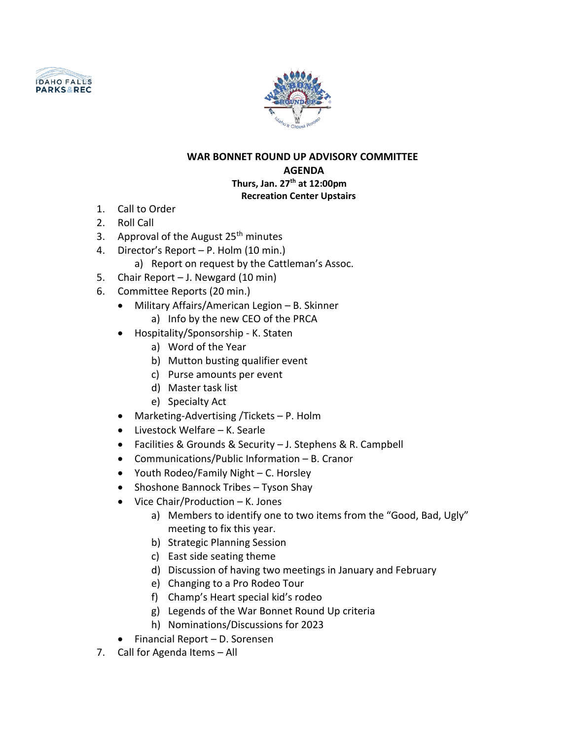



## **WAR BONNET ROUND UP ADVISORY COMMITTEE AGENDA Thurs, Jan. 27th at 12:00pm Recreation Center Upstairs**

- 1. Call to Order
- 2. Roll Call
- 3. Approval of the August  $25<sup>th</sup>$  minutes
- 4. Director's Report P. Holm (10 min.)
	- a) Report on request by the Cattleman's Assoc.
- 5. Chair Report J. Newgard (10 min)
- 6. Committee Reports (20 min.)
	- Military Affairs/American Legion B. Skinner
		- a) Info by the new CEO of the PRCA
	- Hospitality/Sponsorship K. Staten
		- a) Word of the Year
		- b) Mutton busting qualifier event
		- c) Purse amounts per event
		- d) Master task list
		- e) Specialty Act
	- Marketing-Advertising /Tickets P. Holm
	- Livestock Welfare K. Searle
	- Facilities & Grounds & Security J. Stephens & R. Campbell
	- Communications/Public Information B. Cranor
	- Youth Rodeo/Family Night C. Horsley
	- Shoshone Bannock Tribes Tyson Shay
	- Vice Chair/Production K. Jones
		- a) Members to identify one to two items from the "Good, Bad, Ugly" meeting to fix this year.
		- b) Strategic Planning Session
		- c) East side seating theme
		- d) Discussion of having two meetings in January and February
		- e) Changing to a Pro Rodeo Tour
		- f) Champ's Heart special kid's rodeo
		- g) Legends of the War Bonnet Round Up criteria
		- h) Nominations/Discussions for 2023
	- Financial Report D. Sorensen
- 7. Call for Agenda Items All